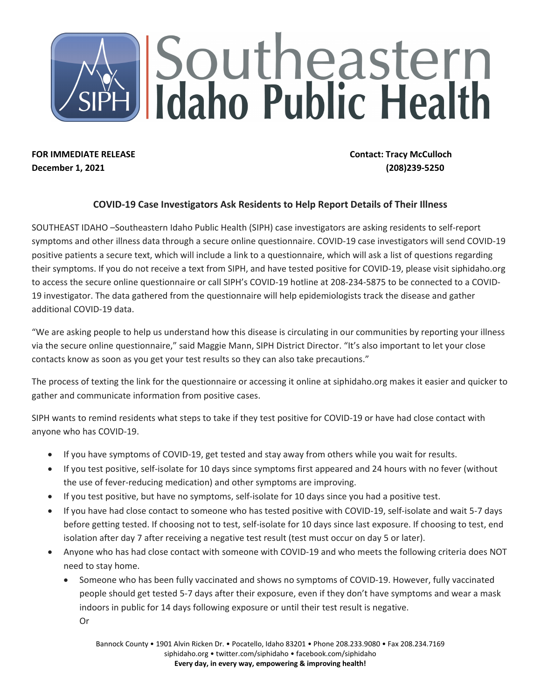## Southeastern<br>J Idaho Public Health

**FOR IMMEDIATE RELEASE Contact: Tracy McCulloch December 1, 2021 (208)239-5250** 

## **COVID-19 Case Investigators Ask Residents to Help Report Details of Their Illness**

SOUTHEAST IDAHO –Southeastern Idaho Public Health (SIPH) case investigators are asking residents to self-report symptoms and other illness data through a secure online questionnaire. COVID-19 case investigators will send COVID-19 positive patients a secure text, which will include a link to a questionnaire, which will ask a list of questions regarding their symptoms. If you do not receive a text from SIPH, and have tested positive for COVID-19, please visit siphidaho.org to access the secure online questionnaire or call SIPH's COVID-19 hotline at 208-234-5875 to be connected to a COVID-19 investigator. The data gathered from the questionnaire will help epidemiologists track the disease and gather additional COVID-19 data.

"We are asking people to help us understand how this disease is circulating in our communities by reporting your illness via the secure online questionnaire," said Maggie Mann, SIPH District Director. "It's also important to let your close contacts know as soon as you get your test results so they can also take precautions."

The process of texting the link for the questionnaire or accessing it online at siphidaho.org makes it easier and quicker to gather and communicate information from positive cases.

SIPH wants to remind residents what steps to take if they test positive for COVID-19 or have had close contact with anyone who has COVID-19.

- If you have symptoms of COVID-19, get tested and stay away from others while you wait for results.
- If you test positive, self-isolate for 10 days since symptoms first appeared and 24 hours with no fever (without the use of fever-reducing medication) and other symptoms are improving.
- If you test positive, but have no symptoms, self-isolate for 10 days since you had a positive test.
- If you have had close contact to someone who has tested positive with COVID-19, self-isolate and wait 5-7 days before getting tested. If choosing not to test, self-isolate for 10 days since last exposure. If choosing to test, end isolation after day 7 after receiving a negative test result (test must occur on day 5 or later).
- Anyone who has had close contact with someone with COVID-19 and who meets the following criteria does NOT need to stay home.
	- Someone who has been fully vaccinated and shows no symptoms of COVID-19. However, fully vaccinated people should get tested 5-7 days after their exposure, even if they don't have symptoms and wear a mask indoors in public for 14 days following exposure or until their test result is negative. Or